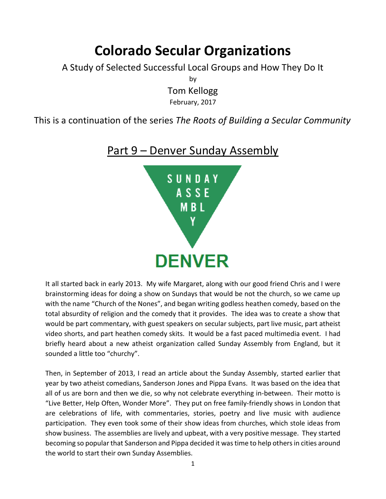## **Colorado Secular Organizations**

A Study of Selected Successful Local Groups and How They Do It

by Tom Kellogg

February, 2017

This is a continuation of the series *The Roots of Building a Secular Community*

## Part 9 – Denver Sunday Assembly



It all started back in early 2013. My wife Margaret, along with our good friend Chris and I were brainstorming ideas for doing a show on Sundays that would be not the church, so we came up with the name "Church of the Nones", and began writing godless heathen comedy, based on the total absurdity of religion and the comedy that it provides. The idea was to create a show that would be part commentary, with guest speakers on secular subjects, part live music, part atheist video shorts, and part heathen comedy skits. It would be a fast paced multimedia event. I had briefly heard about a new atheist organization called Sunday Assembly from England, but it sounded a little too "churchy".

Then, in September of 2013, I read an article about the Sunday Assembly, started earlier that year by two atheist comedians, Sanderson Jones and Pippa Evans. It was based on the idea that all of us are born and then we die, so why not celebrate everything in-between. Their motto is "Live Better, Help Often, Wonder More". They put on free family-friendly shows in London that are celebrations of life, with commentaries, stories, poetry and live music with audience participation. They even took some of their show ideas from churches, which stole ideas from show business. The assemblies are lively and upbeat, with a very positive message. They started becoming so popular that Sanderson and Pippa decided it was time to help others in cities around the world to start their own Sunday Assemblies.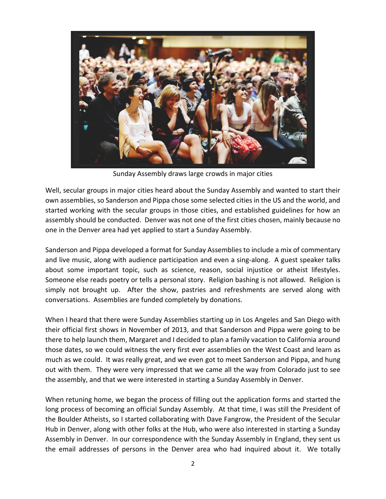

Sunday Assembly draws large crowds in major cities

Well, secular groups in major cities heard about the Sunday Assembly and wanted to start their own assemblies, so Sanderson and Pippa chose some selected cities in the US and the world, and started working with the secular groups in those cities, and established guidelines for how an assembly should be conducted. Denver was not one of the first cities chosen, mainly because no one in the Denver area had yet applied to start a Sunday Assembly.

Sanderson and Pippa developed a format for Sunday Assemblies to include a mix of commentary and live music, along with audience participation and even a sing-along. A guest speaker talks about some important topic, such as science, reason, social injustice or atheist lifestyles. Someone else reads poetry or tells a personal story. Religion bashing is not allowed. Religion is simply not brought up. After the show, pastries and refreshments are served along with conversations. Assemblies are funded completely by donations.

When I heard that there were Sunday Assemblies starting up in Los Angeles and San Diego with their official first shows in November of 2013, and that Sanderson and Pippa were going to be there to help launch them, Margaret and I decided to plan a family vacation to California around those dates, so we could witness the very first ever assemblies on the West Coast and learn as much as we could. It was really great, and we even got to meet Sanderson and Pippa, and hung out with them. They were very impressed that we came all the way from Colorado just to see the assembly, and that we were interested in starting a Sunday Assembly in Denver.

When retuning home, we began the process of filling out the application forms and started the long process of becoming an official Sunday Assembly. At that time, I was still the President of the Boulder Atheists, so I started collaborating with Dave Fangrow, the President of the Secular Hub in Denver, along with other folks at the Hub, who were also interested in starting a Sunday Assembly in Denver. In our correspondence with the Sunday Assembly in England, they sent us the email addresses of persons in the Denver area who had inquired about it. We totally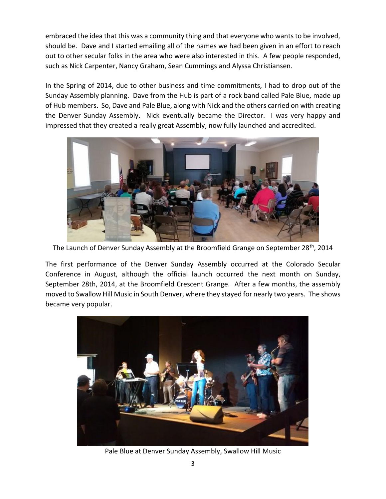embraced the idea that this was a community thing and that everyone who wants to be involved, should be. Dave and I started emailing all of the names we had been given in an effort to reach out to other secular folks in the area who were also interested in this. A few people responded, such as Nick Carpenter, Nancy Graham, Sean Cummings and Alyssa Christiansen.

In the Spring of 2014, due to other business and time commitments, I had to drop out of the Sunday Assembly planning. Dave from the Hub is part of a rock band called Pale Blue, made up of Hub members. So, Dave and Pale Blue, along with Nick and the others carried on with creating the Denver Sunday Assembly. Nick eventually became the Director. I was very happy and impressed that they created a really great Assembly, now fully launched and accredited.



The Launch of Denver Sunday Assembly at the Broomfield Grange on September 28<sup>th</sup>, 2014

The first performance of the Denver Sunday Assembly occurred at the Colorado Secular Conference in August, although the official launch occurred the next month on Sunday, September 28th, 2014, at the Broomfield Crescent Grange. After a few months, the assembly moved to Swallow Hill Music in South Denver, where they stayed for nearly two years. The shows became very popular.



Pale Blue at Denver Sunday Assembly, Swallow Hill Music